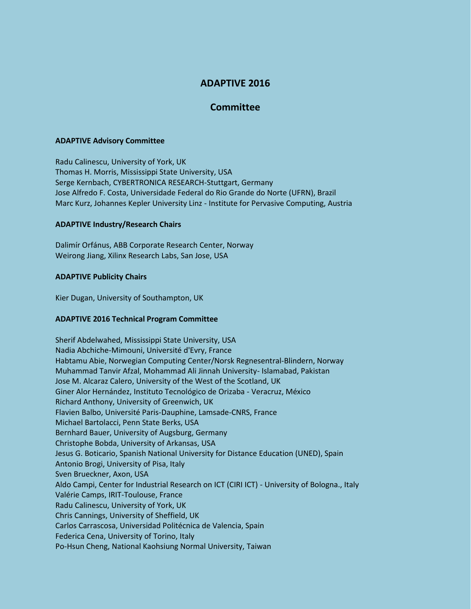# **ADAPTIVE 2016**

## **Committee**

#### **ADAPTIVE Advisory Committee**

Radu Calinescu, University of York, UK Thomas H. Morris, Mississippi State University, USA Serge Kernbach, CYBERTRONICA RESEARCH-Stuttgart, Germany Jose Alfredo F. Costa, Universidade Federal do Rio Grande do Norte (UFRN), Brazil Marc Kurz, Johannes Kepler University Linz - Institute for Pervasive Computing, Austria

### **ADAPTIVE Industry/Research Chairs**

Dalimír Orfánus, ABB Corporate Research Center, Norway Weirong Jiang, Xilinx Research Labs, San Jose, USA

### **ADAPTIVE Publicity Chairs**

Kier Dugan, University of Southampton, UK

### **ADAPTIVE 2016 Technical Program Committee**

Sherif Abdelwahed, Mississippi State University, USA Nadia Abchiche-Mimouni, Université d'Evry, France Habtamu Abie, Norwegian Computing Center/Norsk Regnesentral-Blindern, Norway Muhammad Tanvir Afzal, Mohammad Ali Jinnah University- Islamabad, Pakistan Jose M. Alcaraz Calero, University of the West of the Scotland, UK Giner Alor Hernández, Instituto Tecnológico de Orizaba - Veracruz, México Richard Anthony, University of Greenwich, UK Flavien Balbo, Université Paris-Dauphine, Lamsade-CNRS, France Michael Bartolacci, Penn State Berks, USA Bernhard Bauer, University of Augsburg, Germany Christophe Bobda, University of Arkansas, USA Jesus G. Boticario, Spanish National University for Distance Education (UNED), Spain Antonio Brogi, University of Pisa, Italy Sven Brueckner, Axon, USA Aldo Campi, Center for Industrial Research on ICT (CIRI ICT) - University of Bologna., Italy Valérie Camps, IRIT-Toulouse, France Radu Calinescu, University of York, UK Chris Cannings, University of Sheffield, UK Carlos Carrascosa, Universidad Politécnica de Valencia, Spain Federica Cena, University of Torino, Italy Po-Hsun Cheng, National Kaohsiung Normal University, Taiwan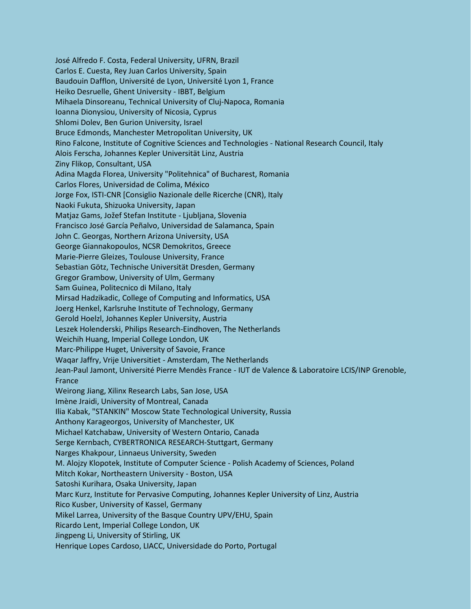José Alfredo F. Costa, Federal University, UFRN, Brazil Carlos E. Cuesta, Rey Juan Carlos University, Spain Baudouin Dafflon, Université de Lyon, Université Lyon 1, France Heiko Desruelle, Ghent University - IBBT, Belgium Mihaela Dinsoreanu, Technical University of Cluj-Napoca, Romania Ioanna Dionysiou, University of Nicosia, Cyprus Shlomi Dolev, Ben Gurion University, Israel Bruce Edmonds, Manchester Metropolitan University, UK Rino Falcone, Institute of Cognitive Sciences and Technologies - National Research Council, Italy Alois Ferscha, Johannes Kepler Universität Linz, Austria Ziny Flikop, Consultant, USA Adina Magda Florea, University "Politehnica" of Bucharest, Romania Carlos Flores, Universidad de Colima, México Jorge Fox, ISTI-CNR [Consiglio Nazionale delle Ricerche (CNR), Italy Naoki Fukuta, Shizuoka University, Japan Matjaz Gams, Jožef Stefan Institute - Ljubljana, Slovenia Francisco José García Peñalvo, Universidad de Salamanca, Spain John C. Georgas, Northern Arizona University, USA George Giannakopoulos, NCSR Demokritos, Greece Marie-Pierre Gleizes, Toulouse University, France Sebastian Götz, Technische Universität Dresden, Germany Gregor Grambow, University of Ulm, Germany Sam Guinea, Politecnico di Milano, Italy Mirsad Hadzikadic, College of Computing and Informatics, USA Joerg Henkel, Karlsruhe Institute of Technology, Germany Gerold Hoelzl, Johannes Kepler University, Austria Leszek Holenderski, Philips Research-Eindhoven, The Netherlands Weichih Huang, Imperial College London, UK Marc-Philippe Huget, University of Savoie, France Waqar Jaffry, Vrije Universitiet - Amsterdam, The Netherlands Jean-Paul Jamont, Université Pierre Mendès France - IUT de Valence & Laboratoire LCIS/INP Grenoble, France Weirong Jiang, Xilinx Research Labs, San Jose, USA Imène Jraidi, University of Montreal, Canada Ilia Kabak, "STANKIN" Moscow State Technological University, Russia Anthony Karageorgos, University of Manchester, UK Michael Katchabaw, University of Western Ontario, Canada Serge Kernbach, CYBERTRONICA RESEARCH-Stuttgart, Germany Narges Khakpour, Linnaeus University, Sweden M. Alojzy Klopotek, Institute of Computer Science - Polish Academy of Sciences, Poland Mitch Kokar, Northeastern University - Boston, USA Satoshi Kurihara, Osaka University, Japan Marc Kurz, Institute for Pervasive Computing, Johannes Kepler University of Linz, Austria Rico Kusber, University of Kassel, Germany Mikel Larrea, University of the Basque Country UPV/EHU, Spain Ricardo Lent, Imperial College London, UK Jingpeng Li, University of Stirling, UK Henrique Lopes Cardoso, LIACC, Universidade do Porto, Portugal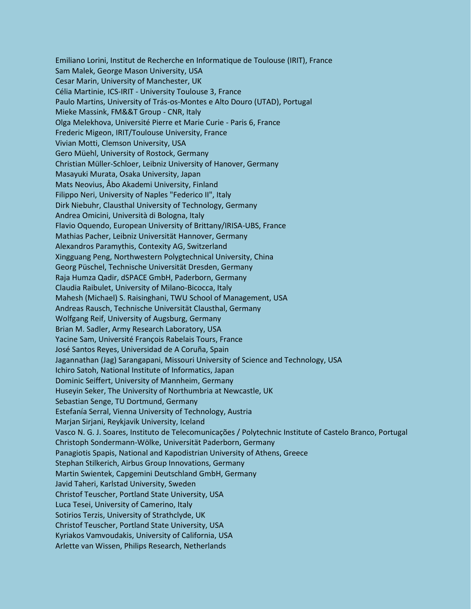Emiliano Lorini, Institut de Recherche en Informatique de Toulouse (IRIT), France Sam Malek, George Mason University, USA Cesar Marin, University of Manchester, UK Célia Martinie, ICS-IRIT - University Toulouse 3, France Paulo Martins, University of Trás-os-Montes e Alto Douro (UTAD), Portugal Mieke Massink, FM&&T Group - CNR, Italy Olga Melekhova, Université Pierre et Marie Curie - Paris 6, France Frederic Migeon, IRIT/Toulouse University, France Vivian Motti, Clemson University, USA Gero Müehl, University of Rostock, Germany Christian Müller-Schloer, Leibniz University of Hanover, Germany Masayuki Murata, Osaka University, Japan Mats Neovius, Åbo Akademi University, Finland Filippo Neri, University of Naples "Federico II", Italy Dirk Niebuhr, Clausthal University of Technology, Germany Andrea Omicini, Università di Bologna, Italy Flavio Oquendo, European University of Brittany/IRISA-UBS, France Mathias Pacher, Leibniz Universität Hannover, Germany Alexandros Paramythis, Contexity AG, Switzerland Xingguang Peng, Northwestern Polygtechnical University, China Georg Püschel, Technische Universität Dresden, Germany Raja Humza Qadir, dSPACE GmbH, Paderborn, Germany Claudia Raibulet, University of Milano-Bicocca, Italy Mahesh (Michael) S. Raisinghani, TWU School of Management, USA Andreas Rausch, Technische Universität Clausthal, Germany Wolfgang Reif, University of Augsburg, Germany Brian M. Sadler, Army Research Laboratory, USA Yacine Sam, Université François Rabelais Tours, France José Santos Reyes, Universidad de A Coruña, Spain Jagannathan (Jag) Sarangapani, Missouri University of Science and Technology, USA Ichiro Satoh, National Institute of Informatics, Japan Dominic Seiffert, University of Mannheim, Germany Huseyin Seker, The University of Northumbria at Newcastle, UK Sebastian Senge, TU Dortmund, Germany Estefanía Serral, Vienna University of Technology, Austria Marjan Sirjani, Reykjavik University, Iceland Vasco N. G. J. Soares, Instituto de Telecomunicações / Polytechnic Institute of Castelo Branco, Portugal Christoph Sondermann-Wölke, Universität Paderborn, Germany Panagiotis Spapis, National and Kapodistrian University of Athens, Greece Stephan Stilkerich, Airbus Group Innovations, Germany Martin Swientek, Capgemini Deutschland GmbH, Germany Javid Taheri, Karlstad University, Sweden Christof Teuscher, Portland State University, USA Luca Tesei, University of Camerino, Italy Sotirios Terzis, University of Strathclyde, UK Christof Teuscher, Portland State University, USA Kyriakos Vamvoudakis, University of California, USA Arlette van Wissen, Philips Research, Netherlands